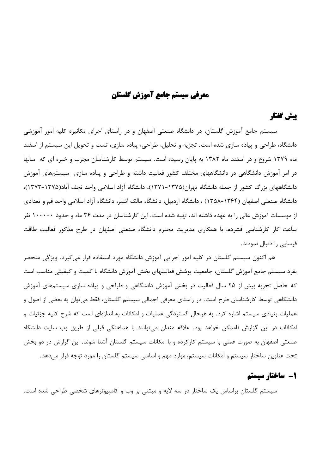# معرفي سيستم جامع آموزش كلستان

# پیش گفتار

سیستم جامع آموزش گلستان، در دانشگاه صنعتی اصفهان و در راستای اجرای مکانیزه کلیه امور آموزشی دانشگاه، طراحی و پیاده سازی شده است. تجزیه و تحلیل، طراحی، پیاده سازی، تست و تحویل این سیستم از اسفند ماه ۱۳۷۹ شروع و در اسفند ماه ۱۳۸۲ به پایان رسیده است. سیستم توسط کارشناسان مجرب و خبره ای که سالها در امر آموزش دانشگاهی در دانشگاههای مختلف کشور فعالیت داشته و طراحی و پیاده سازی سیستمهای آموزش دانشگاههای بزرگ کشور از جمله دانشگاه تهران(۱۳۷۵–۱۳۷۱)، دانشگاه آزاد اسلامی واحد نجف آباد(۱۳۷۵–۱۳۷۳)، دانشگاه صنعتی اصفهان (۱۳۶۴–۱۳۵۸) ، دانشگاه اردبیل، دانشگاه مالک اشتر، دانشگاه آزاد اسلامی واحد قم و تعدادی از موسسات آموزش عالی را به عهده داشته اند، تهیه شده است. این کارشناسان در مدت ۳۶ ماه و حدود ۱۰۰۰۰۰ نفر ساعت کار کارشناسی فشرده، با همکاری مدیریت محترم دانشگاه صنعتی اصفهان در طرح مذکور فعالیت طاقت فرسایی را دنبال نمودند.

هم اکنون سیستم گلستان در کلیه امور اجرایی آموزش دانشگاه مورد استفاده قرار می گیرد. ویژگی منحصر بفرد سیستم جامع آموزش گلستان، جامعیت پوشش فعالیتهای بخش آموزش دانشگاه با کمیت و کیفیتی مناسب است که حاصل تجربه بیش از ۲۵ سال فعالیت در بخش آموزش دانشگاهی و طراحی و پیاده سازی سیستمهای آموزش دانشگاهی توسط کارشناسان طرح است. در راستای معرفی اجمالی سیستم گلستان، فقط می توان به بعضی از اصول و عملیات بنیادی سیستم اشاره کرد. به هرحال گستردگی عملیات و امکانات به اندازهای است که شرح کلیه جزئیات و امکانات در این گزارش ناممکن خواهد بود. علاقه مندان میتوانند با هماهنگی قبلی از طریق وب سایت دانشگاه صنعتی اصفهان به صورت عملی با سیستم کارکرده و با امکانات سیستم گلستان آشنا شوند. این گزارش در دو بخش تحت عناوین ساختار سیستم و امکانات سیستم، موارد مهم و اساسی سیستم گلستان را مورد توجه قرار میدهد.

# 1- ساختار سیستم

سیستم گلستان براساس یک ساختار در سه لایه و مبتنی بر وب و کامپیوترهای شخصی طراحی شده است.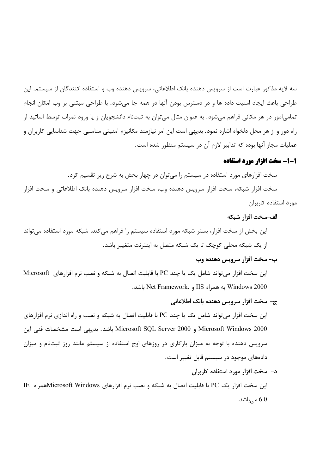سه لایه مذکور عبارت است از سرویس دهنده بانک اطلاعاتی، سرویس دهنده وب و استفاده کنندگان از سیستم. این طراحی باعث ایجاد امنیت داده ها و در دسترس بودن آنها در همه جا می،شود. با طراحی مبتنی بر وب امکان انجام تمامی|مور در هر مکانی فراهم میشود. به عنوان مثال میتوان به ثبتنام دانشجویان و یا ورود نمرات توسط اساتید از راه دور و از هر محل دلخواه اشاره نمود. بديهي است اين امر نيازمند مكانيزم امنيتي مناسبي جهت شناسايي كاربران و عملیات مجاز آنها بوده که تدابیر لازم آن در سیستم منظور شده است.

### 1-1- سخت افزار مورد استفاده

سخت افزارهای مورد استفاده در سیستم را میتوان در چهار بخش به شرح زیر تقسیم کرد.

سخت افزار شبکه، سخت افزار سرویس دهنده وب، سخت افزار سرویس دهنده بانک اطلاعاتی و سخت افزار مورد استفاده کاربران

#### الف–سخت افزار شبكه

این بخش از سخت افزار، بستر شبکه مورد استفاده سیستم را فراهم میکند، شبکه مورد استفاده میتواند از یک شبکه محلی کوچک تا یک شبکه متصل به اینترنت متغییر باشد.  $\overline{\phantom{a}}$ 

# ب- سخت افزار سرويس دهنده وب

این سخت افزار میتواند شامل یک یا چند PC با قابلیت اتصال به شبکه و نصب نرم افزارهای Microsoft باشد. Windows 2000 به همراه IIS و Net Framework. باشد.

#### ج- سخت افزار سرويس دهنده بانک اطلاعاتي

این سخت افزار میتواند شامل یک یا چند PC با قابلیت اتصال به شبکه و نصب و راه اندازی نرم افزارهای Microsoft Windows 2000 و Microsoft SQL Server 2000 باشد. بديهي است مشخصات فني اين سرویس دهنده با توجه به میزان بارکاری در روزهای اوج استفاده از سیستم مانند روز ثبتنام و میزان دادههای موجود در سیستم قابل تغییر است.

#### د- سخت افزار مورد استفاده کاربران

این سخت افزار یک PC با قابلیت اتصال به شبکه و نصب نرم افزارهای Microsoft Windowsهمراه IE مے باشد.  $6.0$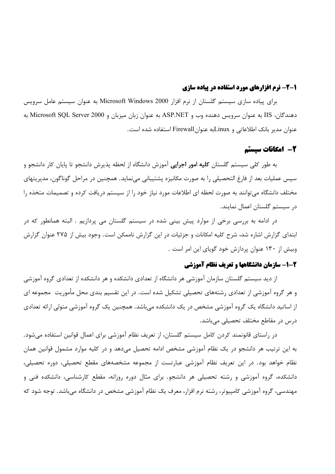### ۱-۲- نرم افزارهای مورد استفاده در پیاده سازی

برای پیاده سازی سیستم گلستان از نرم افزار Microsoft Windows 2000 به عنوان سیستم عامل سرویس دهندگان، IIS به عنوان سرویس دهنده وب و ASP.NET به عنوان زبان میزبان و Microsoft SQL Server 2000 به عنوان مدير بانك اطلاعاتي و Linuxبه عنوانFirewall استفاده شده است.

### 2- امکانات سیستم

به طور کلی سیستم گلستان **کلیه امور اجرایی** آموزش دانشگاه از لحظه پذیرش دانشجو تا پایان کار دانشجو و سیس عملیات بعد از فارغ التحصیلی را به صورت مکانیزه پشتیبانی می،نماید. همچنین در مراحل گوناگون، مدیریتهای مختلف دانشگاه می توانند به صورت لحظه ای اطلاعات مورد نیاز خود را از سیستم دریافت کرده و تصمیمات متخذه را در سیستم گلستان اعمال نمایند.

در ادامه به بررسی برخی از موارد پیش بینی شده در سیستم گلستان می پردازیم . البته همانطور که در ابتدای گزارش اشاره شد، شرح کلیه امکانات و جزئیات در این گزارش ناممکن است. وجود بیش از ۲۷۵ عنوان گزارش وبیش از ۱۳۰ عنوان پردازش خود گویای این امر است .

# ۲-۱- سازمان دانشگاهها و تعریف نظام آموزشی

از دید سیستم گلستان سازمان آموزشی هر دانشگاه از تعدادی دانشکده و هر دانشکده از تعدادی گروه آموزشی و هر گروه آموزشی از تعدادی رشتههای تحصیلی تشکیل شده است. در این تقسیم بندی محل مأموریت مجموعه ای از اساتید دانشگاه یک گروه آموزشی مشخص در یک دانشکده میباشد. همچنین یک گروه آموزشی متولی ارائه تعدادی درس در مقاطع مختلف تحصیلی می باشد.

در راستای قانونمند کردن کامل سیستم گلستان، از تعریف نظام آموزشی برای اعمال قوانین استفاده میشود. به این ترتیب هر دانشجو در یک نظام آموزشی مشخص ادامه تحصیل میدهد و در کلیه موارد مشمول قوانین همان نظام خواهد بود. در این تعریف نظام آموزشی عبارتست از مجموعه مشخصههای مقطع تحصیلی، دوره تحصیلی، دانشکده، گروه آموزشی و رشته تحصیلی هر دانشجو. برای مثال دوره روزانه، مقطع کارشناسی، دانشکده فنی و مهندسی، گروه آموزشی کامپیوتر، رشته نرم افزار، معرف یک نظام آموزشی مشخص در دانشگاه میباشد. توجه شود که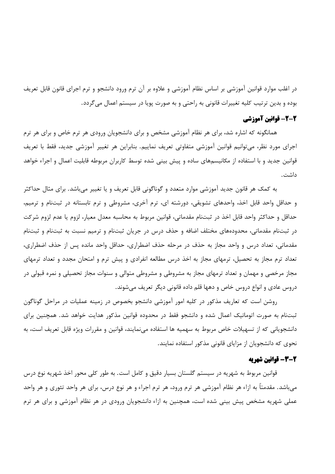در اغلب موارد قوانین آموزشی بر اساس نظام آموزشی و علاوه بر آن ترم ورود دانشجو و ترم اجرای قانون قابل تعریف بوده و بدين ترتيب كليه تغييرات قانوني به راحتي و به صورت پويا در سيستم اعمال مي گردد.

### 2-2- قوانین آموزشی

همانگونه که اشاره شد، برای هر نظام آموزشی مشخص و برای دانشجویان ورودی هر ترم خاص و برای هر ترم اجراي مورد نظر، مي توانيم قوانين آموزشي متفاوتي تعريف نماييم. بنابراين هر تغيير آموزشي جديد، فقط با تعريف قوانین جدید و با استفاده از مکانیسمهای ساده و پیش بینی شده توسط کاربران مربوطه قابلیت اعمال و اجراء خواهد داشت.

به کمک هر قانون جدید آموزشی موارد متعدد و گوناگونی قابل تعریف و یا تغییر میباشد. برای مثال حداکثر و حداقل واحد قابل اخذ، واحدهای تشویقی، دورشته ای، ترم آخری، مشروطی و ترم تابستانه در ثبتنام و ترمیم، حداقل و حداكثر واحد قابل اخذ در ثبتنام مقدماتي، قوانين مربوط به محاسبه معدل معيار، لزوم يا عدم لزوم شركت در ثبتنام مقدماتی، محدودههای مختلف اضافه و حذف درس در جریان ثبتنام و ترمیم نسبت به ثبتنام و ثبتنام مقدماتی، تعداد درس و واحد مجاز به حذف در مرحله حذف اضطراری، حداقل واحد مانده پس از حذف اضطراری، تعداد ترم مجاز به تحصیل، ترمهای مجاز به اخذ درس مطالعه انفرادی و پیش ترم و امتحان مجدد و تعداد ترمهای مجاز مرخصی و مهمان و تعداد ترمهای مجاز به مشروطی و مشروطی متوالی و سنوات مجاز تحصیلی و نمره قبولی در دروس عادي و انواع دروس خاص و دهها قلم داده قانوني ديگر تعريف مي شوند.

روشن است که تعاریف مذکور در کلیه امور آموزشی دانشجو بخصوص در زمینه عملیات در مراحل گوناگون ثبتنام به صورت اتوماتیک اعمال شده و دانشجو فقط در محدوده قوانین مذکور هدایت خواهد شد. همچنین برای دانشجویانی که از تسهیلات خاص مربوط به سهمیه ها استفاده می نمایند، قوانین و مقررات ویژه قابل تعریف است، به نحوی که دانشجویان از مزایای قانونی مذکور استفاده نمایند.

# 2-3- قوانين شهريه

قوانین مربوط به شهریه در سیستم گلستان بسیار دقیق و کامل است. به طور کلی محور اخذ شهریه نوع درس میباشد. مقدمتاً به ازاء هر نظام آموزشی هر ترم ورود، هر ترم اجراء و هر نوع درس، برای هر واحد تئوری و هر واحد عملی شهریه مشخص پیش بینی شده است، همچنین به ازاء دانشجویان ورودی در هر نظام آموزشی و برای هر ترم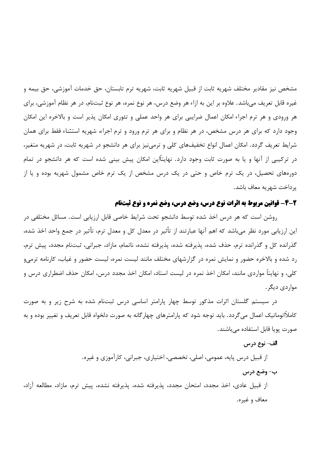مشخص نیز مقادیر مختلف شهریه ثابت از قبیل شهریه ثابت، شهریه ترم تابستان، حق خدمات آموزشی، حق بیمه و غیره قابل تعریف می باشد. علاوه بر این به ازاء هر وضع درس، هر نوع نمره، هر نوع ثبتنام، در هر نظام آموزشی، برای هر ورودی و هر ترم اجراء امکان اعمال ضرایبی برای هر واحد عملی و تئوری امکان پذیر است و بالاخره این امکان وجود دارد که برای هر درس مشخص، در هر نظام و برای هر ترم ورود و ترم اجراء، شهریه استثناء فقط برای همان شرایط تعریف گردد. امکان اعمال انواع تخفیفهای کلی و ترمی نیز برای هر دانشجو در شهریه ثابت، در شهریه متغیر، در ترکیبی از آنها و یا به صورت ثابت وجود دارد. نهایتاًاین امکان پیش بینی شده است که هر دانشجو در تمام دورههای تحصیل، در یک ترم خاص و حتی در یک درس مشخص از یک ترم خاص مشمول شهریه بوده و یا از ير داخت شهريه معاف باشد.

# 2-4- قوانین مربوط به اثرات نوع درس، وضع درس، وضع نمره و نوع ثبتنام

روشن است که هر درس اخذ شده توسط دانشجو تحت شرایط خاصی قابل ارزیابی است. مسائل مختلفی در این ارزیابی مورد نظر میباشد که اهم آنها عبارتند از تأثیر در معدل کل و معدل ترم، تأثیر در جمع واحد اخذ شده، گذرانده کل و گذرانده ترم، حذف شده، پذیرفته شده، پذیرفته نشده، ناتمام، مازاد، جبرانی، ثبتنام مجدد، پیش ترم، رد شده و بالاخره حضور و نمایش نمره در گزارشهای مختلف مانند لیست نمره، لیست حضور و غیاب، کارنامه ترمی و کلی، و نهایتاً مواردی مانند، امکان اخذ نمره در لیست استاد، امکان اخذ مجدد درس، امکان حذف اضطراری درس و مواردي ديگر .

در سیستم گلستان اثرات مذکور توسط چهار پارامتر اساسی درس ثبتنام شده به شرح زیر و به صورت کاملاًاتوماتیک اعمال می گردد. باید توجه شود که پارامترهای چهار گانه به صورت دلخواه قابل تعریف و تغییر بوده و به صورت یویا قابل استفاده میباشند.

#### الف- نوع درس

از قبیل درس پایه، عمومی، اصلی، تخصصی، اختیاری، جبرانی، کارآموزی و غیره.

#### ب- وضع درس

از قبیل عادی، اخذ مجدد، امتحان مجدد، پذیرفته شده، پذیرفته نشده، پیش ترم، مازاد، مطالعه آزاد، معاف و غیره.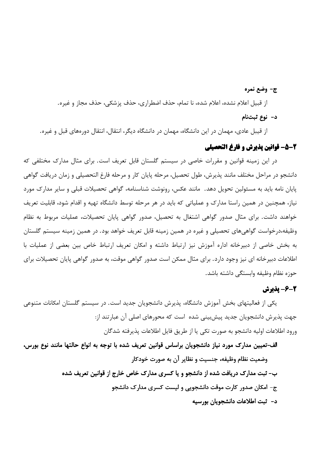ج- وضع نمره

از قبيل اعلام نشده، اعلام شده، نا تمام، حذف اضطراري، حذف يزشكي، حذف مجاز و غيره.

د- نوع ثبتنام

از قیبل عادی، مهمان در این دانشگاه، مهمان در دانشگاه دیگر، انتقال، انتقال دورههای قبل و غیره.

### 2-5- قوانين يذيرش و فارغ التحصيلي

در این زمینه قوانین و مقررات خاصی در سیستم گلستان قابل تعریف است. برای مثال مدارک مختلفی که دانشجو در مراحل مختلف مانند پذیرش، طول تحصیل، مرحله پایان کار و مرحله فارغ التحصیلی و زمان دریافت گواهی یایان نامه باید به مسئولین تحویل دهد. مانند عکس، رونوشت شناسنامه، گواهی تحصیلات قبلی و سایر مدارک مورد نیاز، همچنین در همین راستا مدارک و عملیاتی که باید در هر مرحله توسط دانشگاه تهیه و اقدام شود، قابلیت تعریف خواهند داشت. برای مثال صدور گواهی اشتغال به تحصیل، صدور گواهی پایان تحصیلات، عملیات مربوط به نظام وظیفه،درخواست گواهی،های تحصیلی و غیره در همین زمینه قابل تعریف خواهد بود. در همین زمینه سیستم گلستان به بخش خاصی از دبیرخانه اداره آموزش نیز ارتباط داشته و امکان تعریف ارتباط خاص بین بعضی از عملیات با اطلاعات دبیرخانه ای نیز وجود دارد. برای مثال ممکن است صدور گواهی موقت، به صدور گواهی پایان تحصیلات برای حوزه نظام وظيفه وابستگي داشته باشد.

# 2-6- يذيرش

یکی از فعالیتهای بخش آموزش دانشگاه، پذیرش دانشجویان جدید است. در سیستم گلستان امکانات متنوعی جهت پذیرش دانشجویان جدید پیش،بینی شده است که محورهای اصلی آن عبارتند از: ورود اطلاعات اوليه دانشجو به صورت تكي يا از طريق فايل اطلاعات پذيرفته شدگان

الف-تعيين مدارك مورد نياز دانشجويان براساس قوانين تعريف شده با توجه به انواع حالتها مانند نوع بورس، وضعيت نظام وظيفه، جنسيت و نظاير آن به صورت خودكار ب– ثبت مدارک دریافت شده از دانشجو و یا کسری مدارک خاص خارج از قوانین تعریف شده ج- امکان صدور کارت موقت دانشجویی و لیست کسری مدارک دانشجو د- ثبت اطلاعات دانشجویان بورسیه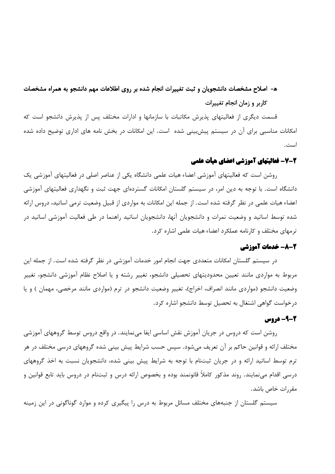# ه- اصلاح مشخصات دانشجویان و ثبت تغییرات انجام شده بر روی اطلاعات مهم دانشجو به همراه مشخصات کاربر و زمان انجام تغییرات

قسمت دیگری از فعالیتهای پذیرش مکاتبات با سازمانها و ادارات مختلف پس از پذیرش دانشجو است که امکانات مناسبی برای آن در سیستم پیش بینی شده است. این امکانات در بخش نامه های اداری توضیح داده شده است.

# 2-7- فعالیتهای آموزشی اعضای هیأت علمی

روشن است که فعالیتهای آموزشی اعضاء هیات علمی دانشگاه یکی از عناصر اصلی در فعالیتهای آموزشی یک دانشگاه است. با توجه به دین امر، در سیستم گلستان امکانات گستردهای جهت ثبت و نگهداری فعالیتهای آموزشی اعضاء هیات علمی در نظر گرفته شده است. از جمله این امکانات به مواردی از قبیل وضعیت ترمی اساتید، دروس ارائه شده توسط اساتید و وضعیت نمرات و دانشجویان آنها، دانشجویان اساتید راهنما در طی فعالیت آموزشی اساتید در ترمهای مختلف و کارنامه عملکرد اعضاء هیات علمی اشاره کرد.

### 2-8- خدمات آموزشی

در سیستم گلستان امکانات متعددی جهت انجام امور خدمات آموزشی در نظر گرفته شده است. از جمله این مربوط به مواردی مانند تعیین محدودیتهای تحصیلی دانشجو، تغییر رشته و یا اصلاح نظام آموزشی دانشجو، تغییر وضعیت دانشجو (مواردی مانند انصراف، اخراج)، تغییر وضعیت دانشجو در ترم (مواردی مانند مرخصی، مهمان ) و یا درخواست گواهی اشتغال به تحصیل توسط دانشجو اشاره کرد.

# 2-9- دروس

روشن است که دروس در جریان آموزش نقش اساسی ایفا مینمایند. در واقع دروس توسط گروههای آموزشی مختلف ارائه و قوانین حاکم بر آن تعریف میشود. سپس حسب شرایط پیش بینی شده گروههای درسی مختلف در هر ترم توسط اساتید ارائه و در جریان ثبتنام با توجه به شرایط پیش بینی شده، دانشجویان نسبت به اخذ گروههای درسی اقدام می نمایند. روند مذکور کاملاً قانونمند بوده و بخصوص ارائه درس و ثبتنام در دروس باید تابع قوانین و مقررات خاص باشد.

سیستم گلستان از جنبههای مختلف مسائل مربوط به درس را پیگیری کرده و موارد گوناگونی در این زمینه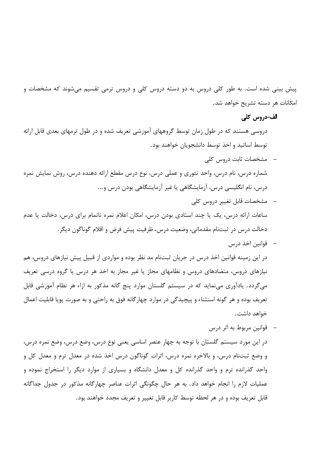پیش بینی شده است. به طور کلی دروس به دو دسته دروس کلی و دروس ترمی تقسیم میشوند که مشخصات و امكانات هر دسته تشريح خواهد شد.

#### الف-دروس کلی

دروسی هستند که در طول زمان توسط گروههای آموزشی تعریف شده و در طول ترمهای بعدی قابل ارائه توسط اساتید و اخذ توسط دانشجویان خواهند بود.

- مشخصات ثابت دروس کلی شماره درس، نام درس، واحد تئوري و عملي درس، نوع درس مقطع ارائه دهنده درس، روش نمايش نمره درس، نام انگلیسی درس، آزمایشگاهی یا غیر آزمایشگاهی بودن درس و...
- مشخصات قابل تغيير دروس كلي ساعات ارائه درس، یک یا چند استادی بودن درس، امکان اعلام نمره ناتمام برای درس، دخالت یا عدم دخالت درس در ثبتنام مقدماتي، وضعيت درس، ظرفيت پيش فرض و اقلام گوناگون ديگر .
- قوانين اخذ درس در این زمینه قوانین اخذ درس در جریان ثبتنام مد نظر بوده و مواردی از قبیل پیش نیازهای دروس، هم نیازهای دروس، متضادهای دروس و نظامهای مجاز یا غیر مجاز به اخذ هر درس یا گروه درسی تعریف می گردد. یادآوری می نماید که در سیستم گلستان موارد پنج گانه مذکور به ازاء هر نظام آموزشی قابل تعریف بوده و هر گونه استثناء و پیچیدگی در موارد چهارگانه فوق به راحتی و به صورت پویا قابلیت اعمال خواهد داشت.
- قوانین مربوط به اثر درس در این مورد سیستم گلستان با توجه به چهار عنصر اساسی یعنی نوع درس، وضع درس، وضع نمره درس، و وضع ثبتنام درس، و بالاخره نمره درس، اثرات گوناگون درس اخذ شده در معدل ترم و معدل کل و واحد گذرانده ترم و واحد گذرانده کل و معدل دانشگاه و بسیاری از موارد دیگر را استخراج نموده و عملیات لازم را انجام خواهد داد. به هر حال چگونگی اثرات عناصر چهارگانه مذکور در جدول جداگانه قابل تعريف بوده و در هر لحظه توسط كاربر قابل تغيير و تعريف مجدد خواهند بود.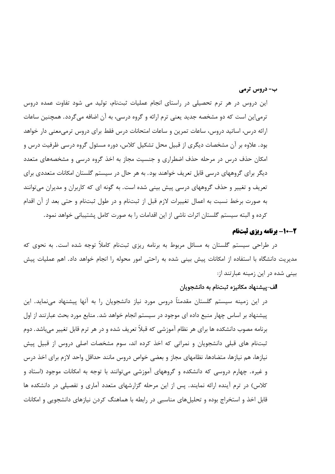ب- دروس ترمی

این دروس در هر ترم تحصیلی در راستای انجام عملیات ثبتنام، تولید می شود تفاوت عمده دروس ترمی|ین است که دو مشخصه جدید یعنی ترم ارائه و گروه درسی، به آن اضافه می گردد. همچنین ساعات ارائه درس، اساتید دروس، ساعات تمرین و ساعات امتحانات درس فقط برای دروس ترمی،معنی دار خواهد بود. علاوه بر آن مشخصات دیگری از قبیل محل تشکیل کلاس، دوره مسئول گروه درسی ظرفیت درس و امکان حذف درس در مرحله حذف اضطراری و جنسیت مجاز به اخذ گروه درسی و مشخصههای متعدد دیگر برای گروههای درسی قابل تعریف خواهند بود. به هر حال در سیستم گلستان امکانات متعددی برای تعریف و تغییر و حذف گروههای درسی پیش بینی شده است. به گونه ای که کاربران و مدیران می توانند به صورت برخط نسبت به اعمال تغییرات لازم قبل از ثبتنام و در طول ثبتنام و حتی بعد از آن اقدام كرده و البته سيستم گلستان اثرات ناشي از اين اقدامات را به صورت كامل يشتيباني خواهد نمود.

# 2-10- برنامه ریزی ثبتنام

در طراحی سیستم گلستان به مسائل مربوط به برنامه ریزی ثبتنام کاملاً توجه شده است. به نحوی که مدیریت دانشگاه با استفاده از امکانات پیش بینی شده به راحتی امور محوله را انجام خواهد داد. اهم عملیات پیش بینی شده در این زمینه عبارتند از:

#### الف–پیشنهاد مکانیزه ثبتنام به دانشجویان

در این زمینه سیستم گلستان مقدمتاً دروس مورد نیاز دانشجویان را به آنها پیشنهاد مینماید. این پیشنهاد بر اساس چهار منبع داده ای موجود در سیستم انجام خواهد شد. منابع مورد بحث عبارتند از اول برنامه مصوب دانشکده ها برای هر نظام آموزشی که قبلاً تعریف شده و در هر ترم قابل تغییر میباشد. دوم ثبتنام های قبلی دانشجویان و نمراتی که اخذ کرده اند، سوم مشخصات اصلی دروس از قبیل پیش نیازها، هم نیازها، متضادها، نظامهای مجاز و بعضی خواص دروس مانند حداقل واحد لازم برای اخذ درس و غیره. چهارم دروسی که دانشکده و گروههای آموزشی میتوانند با توجه به امکانات موجود (استاد و کلاس) در ترم آینده ارائه نمایند. پس از این مرحله گزارشهای متعدد آماری و تفصیلی در دانشکده ها قابل اخذ و استخراج بوده و تحلیلهای مناسبی در رابطه با هماهنگ کردن نیازهای دانشجویی و امکانات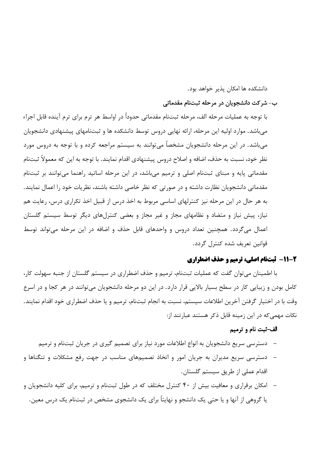دانشکده ها امکان پذیر خواهد بود.

#### ب- شركت دانشجويان در مرحله ثبتنام مقدماتي

با توجه به عمليات مرحله الف، مرحله ثبتنام مقدماتي حدوداً در اواسط هر ترم براي ترم آينده قابل اجراء میباشد. موارد اولیه این مرحله، ارائه نهایی دروس توسط دانشکده ها و ثبتنامهای پیشنهادی دانشجویان می باشد. در این مرحله دانشجویان مشخصاً می توانند به سیستم مراجعه کرده و با توجه به دروس مورد نظر خود، نسبت به حذف، اضافه و اصلاح دروس پیشنهادی اقدام نمایند. با توجه به این که معمولاً ثبتنام مقدماتی پایه و مبنای ثبتنام اصلی و ترمیم میباشد، در این مرحله اساتید راهنما می توانند بر ثبتنام مقدماتی دانشجویان نظارت داشته و در صورتی که نظر خاصی داشته باشند، نظریات خود را اعمال نمایند. به هر حال در این مرحله نیز کنترلهای اساسی مربوط به اخذ درس از قبیل اخذ تکراری درس، رعایت هم نیاز، پیش نیاز و متضاد و نظامهای مجاز و غیر مجاز و بعضی کنترلهای دیگر توسط سیستم گلستان اعمال میگردد. همچنین تعداد دروس و واحدهای قابل حذف و اضافه در این مرحله میتواند توسط قوانين تعريف شده كنترل گردد.

### 2-11- ثبتنام اصلي، ترميم و حذف اضطراري

با اطمینان میتوان گفت که عملیات ثبتنام، ترمیم و حذف اضطراری در سیستم گلستان از جنبه سهولت کار، کامل بودن و زیبایی کار در سطح بسیار بالایی قرار دارد. در این دو مرحله دانشجویان میتوانند در هر کجا و در اسرع وقت با در اختیار گرفتن آخرین اطلاعات سیستم، نسبت به انجام ثبتنام، ترمیم و یا حذف اضطراری خود اقدام نمایند. نکات مهمی که در این زمینه قابل ذکر هستند عبارتند از:

### الف-ثبت نام و ترميم

- دسترسی سریع دانشجویان به انواع اطلاعات مورد نیاز برای تصمیم گیری در جریان ثبتنام و ترمیم
- دسترسی سریع مدیران به جریان امور و اتخاذ تصمیمهای مناسب در جهت رفع مشکلات و تنگناها و اقدام عملي از طريق سيستم گلستان.
- امکان برقراری و معافیت بیش از ۴۰ کنترل مختلف که در طول ثبتنام و ترمیم، برای کلیه دانشجویان و یا گروهی از آنها و یا حتی یک دانشجو و نهایتاً برای یک دانشجوی مشخص در ثبتنام یک درس معین.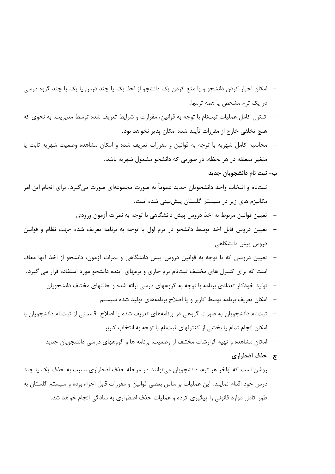- امکان اجبار کردن دانشجو و یا منع کردن یک دانشجو از اخذ یک یا چند درس یا یک یا چند گروه درسی در یک ترم مشخص یا همه ترمها.
- كنترل كامل عمليات ثبتنام با توجه به قوانين، مقرارت و شرايط تعريف شده توسط مديريت، به نحوى كه هيچ تخلفي خارج از مقررات تأييد شده امكان يذير نخواهد بود.
- محاسبه كامل شهريه با توجه به قوانين و مقررات تعريف شده و امكان مشاهده وضعيت شهريه ثابت يا متغیر متعلقه در هر لحظه، در صورتی که دانشجو مشمول شهریه باشد.

#### ب– ثبت نام دانشجویان جدید

ثبتنام و انتخاب واحد دانشجویان جدید عموماً به صورت مجموعهای صورت میگیرد. برای انجام این امر مکانیزم های زیر در سیستم گلستان پیشبینی شده است.

- تعيين قوانين مربوط به اخذ دروس پيش دانشگاهي با توجه به نمرات آزمون ورودي
- تعیین دروس قابل اخذ توسط دانشجو در ترم اول با توجه به برنامه تعریف شده جهت نظام و قوانین دروس پیش دانشگاهی
- تعیین دروسی که با توجه به قوانین دروس پیش دانشگاهی و نمرات آزمون، دانشجو از اخذ آنها معاف است که برای کنترل های مختلف ثبتنام ترم جاری و ترمهای آینده دانشجو مورد استفاده قرار می گیرد.
	- تولید خودکار تعدادی برنامه با توجه به گروههای درسی ارائه شده و حالتهای مختلف دانشجویان
		- امکان تعریف برنامه توسط کاربر و یا اصلاح برنامههای تولید شده سیستم
- ثبتنام دانشجویان به صورت گروهی در برنامههای تعریف شده یا اصلاح قسمتی از ثبتنام دانشجویان با امکان انجام تمام یا بخشی از کنترلهای ثبتنام با توجه به انتخاب کاربر
	- امکان مشاهده و تهیه گزارشات مختلف از وضعیت، برنامه ها و گروههای درسی دانشجویان جدید
		- ج- حذف اضطراري

روشن است که اواخر هر ترم، دانشجویان میتوانند در مرحله حذف اضطراری نسبت به حذف یک یا چند درس خود اقدام نمایند. این عملیات براساس بعضی قوانین و مقررات قابل اجراء بوده و سیستم گلستان به طور کامل موارد قانونی را پیگیری کرده و عملیات حذف اضطراری به سادگی انجام خواهد شد.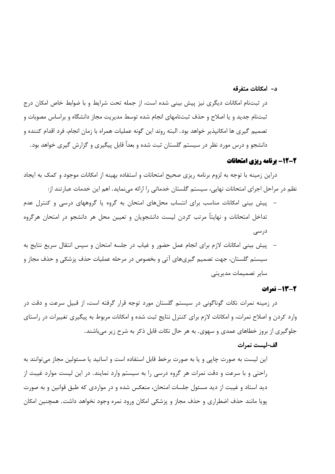#### د- امکانات متفرقه

در ثبتنام امکانات دیگری نیز پیش بینی شده است، از جمله تحت شرایط و با ضوابط خاص امکان درج ثبتنام جديد و يا اصلاح و حذف ثبتنامهاى انجام شده توسط مديريت مجاز دانشگاه و براساس مصوبات و تصميم گيري ها امكانيذير خواهد بود. البته روند اين گونه عمليات همراه با زمان انجام، فرد اقدام كننده و دانشجو و درس مورد نظر در سیستم گلستان ثبت شده و بعداً قابل پیگیری و گزارش گیری خواهد بود.

# 2-12- برنامه ریزی امتحانات

دراین زمینه با توجه به لزوم برنامه ریزی صحیح امتحانات و استفاده بهینه از امکانات موجود و کمک به ایجاد نظم در مراحل اجرای امتحانات نهایی، سیستم گلستان خدماتی را ارائه میiماید. اهم این خدمات عبارتند از:

- پیش بینی امکانات مناسب برای انتساب محلهای امتحان به گروه یا گروههای درسی و کنترل عدم تداخل امتحانات و نهایتاً مرتب کردن لیست دانشجویان و تعیین محل هر دانشجو در امتحان هرگروه در سے ع
- پیش بینی امکانات لازم برای انجام عمل حضور و غیاب در جلسه امتحان و سپس انتقال سریع نتایج به سیستم گلستان، جهت تصمیم گیریهای آتی و بخصوص در مرحله عملیات حذف پزشکی و حذف مجاز و سایر تصمیمات مدیریتی

#### 2-13- نمرات

در زمینه نمرات نکات گوناگونی در سیستم گلستان مورد توجه قرار گرفته است، از قبیل سرعت و دقت در وارد کردن و اصلاح نمرات، و امکانات لازم برای کنترل نتایج ثبت شده و امکانات مربوط به پیگیری تغییرات در راستای جلوگیری از بروز خطاهای عمدی و سهوی. به هر حال نکات قابل ذکر به شرح زیر می باشند.

#### الف-ليست نمرات

این لیست به صورت چاپی و یا به صورت برخط قابل استفاده است و اساتید یا مسئولین مجاز میتوانند به راحتی و با سرعت و دقت نمرات هر گروه درسی را به سیستم وارد نمایند. در این لیست موارد غیبت از دید استاد و غیبت از دید مسئول جلسات امتحان، منعکس شده و در مواردی که طبق قوانین و به صورت پویا مانند حذف اضطراری و حذف مجاز و پزشکی امکان ورود نمره وجود نخواهد داشت. همچنین امکان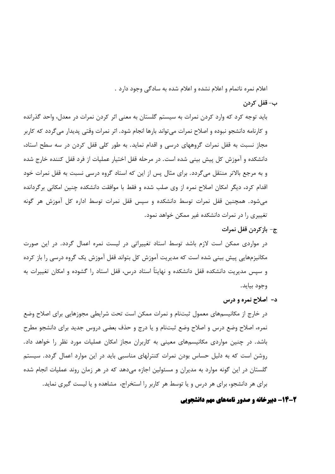اعلام نمره ناتمام و اعلام نشده و اعلام شده به سادگی وجود دارد .

#### ب– قفل کردن

باید توجه کرد که وارد کردن نمرات به سیستم گلستان به معنی اثر کردن نمرات در معدل، واحد گذرانده و كارنامه دانشجو نبوده و اصلاح نمرات مى تواند بارها انجام شود. اثر نمرات وقتى پديدار مى گردد كه كاربر مجاز نسبت به قفل نمرات گروههای درسی و اقدام نماید. به طور کلی قفل کردن در سه سطح استاد، دانشکده و آموزش کل پیش بینی شده است. در مرحله قفل اختیار عملیات از فرد قفل کننده خارج شده و به مرجع بالاتر منتقل میگردد. برای مثال پس از این که استاد گروه درسی نسبت به قفل نمرات خود اقدام کرد، دیگر امکان اصلاح نمره از وی صلب شده و فقط با موافقت دانشکده چنین امکانی برگردانده می شود. همچنین قفل نمرات توسط دانشکده و سیس قفل نمرات توسط اداره کل آموزش هر گونه تغییری را در نمرات دانشکده غیر ممکن خواهد نمود.

ج- بازكردن قفل نمرات

در مواردی ممکن است لازم باشد توسط استاد تغییراتی در لیست نمره اعمال گردد. در این صورت مکانیزمهایی پیش بینی شده است که مدیریت آموزش کل بتواند قفل آموزش یک گروه درسی را باز کرده و سیس مدیریت دانشکده قفل دانشکده و نهایتاً استاد درس، قفل استاد را گشوده و امکان تغییرات به وجود بيايد.

د- اصلاح نمره و درس

در خارج از مکانیسمهای معمول ثبتنام و نمرات ممکن است تحت شرایطی مجوزهایی برای اصلاح وضع نمره، اصلاح وضع درس و اصلاح وضع ثبتنام و یا درج و حذف بعضی دروس جدید برای دانشجو مطرح باشد. در چنین مواردی مکانیسمهای معینی به کاربران مجاز امکان عملیات مورد نظر را خواهد داد. روشن است که به دلیل حساس بودن نمرات کنترلهای مناسبی باید در این موارد اعمال گردد. سیستم گلستان در این گونه موارد به مدیران و مسئولین اجازه میدهد که در هر زمان روند عملیات انجام شده برای هر دانشجو، برای هر درس و یا توسط هر کاربر را استخراج، مشاهده و یا لیست گیری نماید.

# 2-14- دبیرخانه و صدور نامههای مهم دانشجویی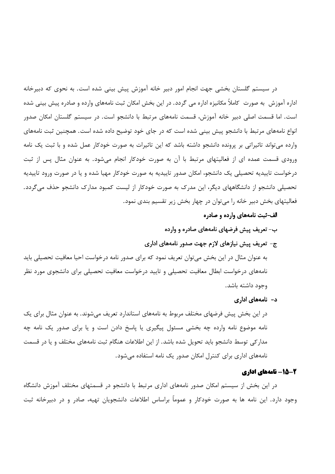در سیستم گلستان بخشی جهت انجام امور دبیر خانه آموزش پیش بینی شده است. به نحوی که دبیرخانه اداره آموزش ً به صورت "کاملاً مکانیزه اداره می گردد. در این بخش امکان ثبت نامههای وارده و صادره پیش بینی شده است. اما قسمت اصلی دبیر خانه آموزش، قسمت نامههای مرتبط با دانشجو است. در سیستم گلستان امکان صدور انواع نامههای مرتبط با دانشجو پیش بینی شده است که در جای خود توضیح داده شده است. همچنین ثبت نامههای وارده می تواند تاثیراتی بر پرونده دانشجو داشته باشد که این تاثیرات به صورت خودکار عمل شده و با ثبت یک نامه ورودی قسمت عمده ای از فعالیتهای مرتبط با آن به صورت خودکار انجام می شود. به عنوان مثال پس از ثبت درخواست تاییدیه تحصیلی یک دانشجو، امکان صدور تاییدیه به صورت خودکار مهیا شده و یا در صورت ورود تاییدیه تحصیلی دانشجو از دانشگاههای دیگر، این مدرک به صورت خودکار از لیست کمبود مدارک دانشجو حذف می گردد. فعالیتهای بخش دبیر خانه را می توان در چهار بخش زیر تقسیم بندی نمود.

- الف-ثبت نامههای وارده و صادره
- ب- تعریف پیش فرضهای نامههای صادره و وارده
- ج- تعریف پیش نیازهای لازم جهت صدور نامههای اداری

به عنوان مثال در این بخش می¤وان تعریف نمود که برای صدور نامه درخواست احیا معافیت تحصیلی باید نامههای درخواست ابطال معافیت تحصیلی و تایید درخواست معافیت تحصیلی برای دانشجوی مورد نظر وجود داشته باشد.

د– نامەھای اداری

در این بخش پیش فرضهای مختلف مربوط به نامههای استاندارد تعریف می شوند. به عنوان مثال برای یک نامه موضوع نامه وارده چه بخشی مسئول پیگیری یا پاسخ دادن است و یا برای صدور یک نامه چه مدار کی توسط دانشجو باید تحویل شده باشد. از این اطلاعات هنگام ثبت نامههای مختلف و یا در قسمت نامههای اداری برای کنترل امکان صدور یک نامه استفاده می شود.

#### 2-15- نامههای اداری

در این بخش از سیستم امکان صدور نامههای اداری مرتبط با دانشجو در قسمتهای مختلف آموزش دانشگاه وجود دارد. این نامه ها به صورت خودکار و عموماً براساس اطلاعات دانشجویان تهیه، صادر و در دبیرخانه ثبت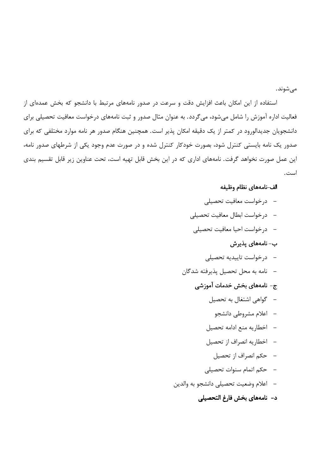مى شوند.

استفاده از این امکان باعث افزایش دقت و سرعت در صدور نامههای مرتبط با دانشجو که بخش عمدهای از فعالیت اداره آموزش را شامل میشود، میگردد. به عنوان مثال صدور و ثبت نامههای درخواست معافیت تحصیلی برای دانشجویان جدیدالورود در کمتر از یک دقیقه امکان پذیر است. همچنین هنگام صدور هر نامه موارد مختلفی که برای صدور یک نامه بایستی کنترل شود، بصورت خودکار کنترل شده و در صورت عدم وجود یکی از شرطهای صدور نامه، این عمل صورت نخواهد گرفت. نامههای اداری که در این بخش قابل تهیه است، تحت عناوین زیر قابل تقسیم بندی است.

#### الف-نامههاى نظام وظيفه

- درخواست معافیت تحصیلی
- درخواست ابطال معافيت تحصيلي
- –۔ درخواست احیا معافیت تحصیلی
	- ب– نامەھاي پذيرش
	- درخواست تاييديه تحصيلي
- نامه به محل تحصیل پذیرفته شدگان
	- ج- نامەھای بخش خدمات آموزشی
		- گواهی اشتغال به تحصیل
			- اعلام مشروطی دانشجو
		- اخطاريه منع ادامه تحصيل
		- اخطاريه انصراف از تحصيل
			- حكم انصراف از تحصيل
		- حكم اتمام سنوات تحصيلى
- اعلام وضعيت تحصيلي دانشجو به والدين
	- د- نامههای بخش فارغ التحصیلی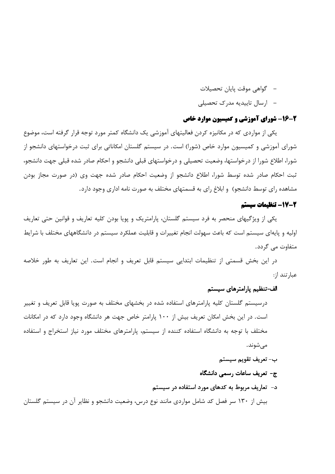- گواهی موقت پایان تحصیلات
- ارسال تاییدیه مدرک تحصیلی

# 2-16- شورای آموزشی و کمیسیون موارد خاص

یکی از مواردی که در مکانیزه کردن فعالیتهای آموزشی یک دانشگاه کمتر مورد توجه قرار گرفته است، موضوع شورای آموزشی و کمیسیون موارد خاص (شورا) است. در سیستم گلستان امکاناتی برای ثبت درخواستهای دانشجو از شورا، اطلاع شورا از درخواستها، وضعیت تحصیلی و درخواستهای قبلی دانشجو و احکام صادر شده قبلی جهت دانشجو، ثبت احکام صادر شده توسط شورا، اطلاع دانشجو از وضعیت احکام صادر شده جهت وی (در صورت مجاز بودن مشاهده رای توسط دانشجو) و ابلاغ رای به قسمتهای مختلف به صورت نامه اداری وجود دارد.

### 2-17- تنظيمات سيستم

یکی از ویژگیهای منحصر به فرد سیستم گلستان، پارامتریک و پویا بودن کلیه تعاریف و قوانین حتی تعاریف اولیه و پایهای سیستم است که باعث سهولت انجام تغییرات و قابلیت عملکرد سیستم در دانشگاههای مختلف با شرایط متفاوت مے گردد.

در این بخش قسمتی از تنظیمات ابتدایی سیستم قابل تعریف و انجام است. این تعاریف به طور خلاصه عبا, تند ا;:

#### الف–تنظیم پارامترهای سیستم

درسیستم گلستان کلیه پارامترهای استفاده شده در بخشهای مختلف به صورت پویا قابل تعریف و تغییر است. در این بخش امکان تعریف بیش از ۱۰۰ پارامتر خاص جهت هر دانشگاه وجود دارد که در امکانات مختلف با توجه به دانشگاه استفاده کننده از سیستم، پارامترهای مختلف مورد نیاز استخراج و استفاده مىشوند.

- ب- تعريف تقويم سيستم
- ج– تعریف ساعات رسمی دانشگاه
- د- تعاریف مربوط به کدهای مورد استفاده در سیستم

بیش از ۱۳۰ سر فصل کد شامل مواردی مانند نوع درس، وضعیت دانشجو و نظایر آن در سیستم گلستان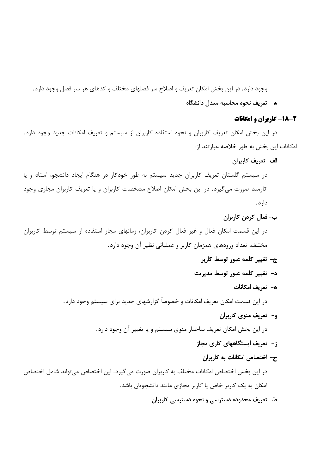وجود دارد. در این بخش امکان تعریف و اصلاح سر فصلهای مختلف و کدهای هر سر فصل وجود دارد. ه- تعریف نحوه محاسبه معدل دانشگاه

#### 2-18- کاربران و امکانات

در این بخش امکان تعریف کاربران و نحوه استفاده کاربران از سیستم و تعریف امکانات جدید وجود دارد. امکانات این بخش به طور خلاصه عبارتند از:

#### الف- تعريف كاربران

در سیستم گلستان تعریف کاربران جدید سیستم به طور خودکار در هنگام ایجاد دانشجو، استاد و یا کارمند صورت می گیرد. در این بخش امکان اصلاح مشخصات کاربران و یا تعریف کاربران مجازی وجود دار د.

ب-فعال كردن كاربران

در این قسمت امکان فعال و غیر فعال کردن کاربران، زمانهای مجاز استفاده از سیستم توسط کاربران مختلف، تعداد ورودهای همزمان کاربر و عملیاتی نظیر آن وجود دارد.

- ج- تغییر کلمه عبور توسط کاربر
- د- تغییر کلمه عبور توسط مدیریت
	- ه- تعريف امكانات

در این قسمت امکان تعریف امکانات و خصوصاً گزارشهای جدید برای سیستم وجود دارد.

و– تعریف منوی کاربران

در این بخش امکان تعریف ساختار منوی سیستم و یا تغییر آن وجود دارد.

- ز- تعریف ایستگاههای کاری مجاز
	- ح- اختصاص امکانات به کاربران

در این بخش اختصاص امکانات مختلف به کاربران صورت میگیرد. این اختصاص میتواند شامل اختصاص امکان به یک کاربر خاص یا کاربر مجازی مانند دانشجویان باشد.

# ط- تعریف محدوده دسترسی و نحوه دسترسی کاربران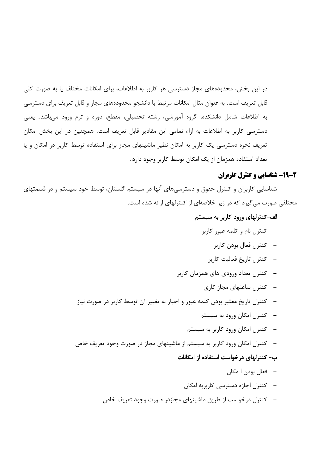در این بخش، محدودههای مجاز دسترسی هر کاربر به اطلاعات، برای امکانات مختلف یا به صورت کلی قابل تعریف است. به عنوان مثال امکانات مرتبط با دانشجو محدودههای مجاز و قابل تعریف برای دسترسی به اطلاعات شامل دانشکده، گروه آموزشی، رشته تحصیلی، مقطع، دوره و ترم ورود میباشد. یعنی دسترسی کاربر به اطلاعات به ازاء تمامی این مقادیر قابل تعریف است. همچنین در این بخش امکان تعریف نحوه دسترسی یک کاربر به امکان نظیر ماشینهای مجاز برای استفاده توسط کاربر در امکان و یا تعداد استفاده همزمان از یک امکان توسط کاربر وجود دارد.

# 2-19- شناسایی و کنترل کاربران

شناسایی کاربران و کنترل حقوق و دسترسیهای آنها در سیستم گلستان، توسط خود سیستم و در قسمتهای مختلفی صورت می گیرد که در زیر خلاصهای از کنترلهای ارائه شده است.

# الف-کنترلهای ورود کاربر به سیستم

- کنترل نام و کلمه عبور کاربر
	- کنترل فعال بودن کاربر
	- كنترل تاريخ فعاليت كاربر
- کنترل تعداد ورودی های همزمان کاربر
	- کنترل ساعتهای مجاز کاری
- کنترل تاریخ معتبر بودن کلمه عبور و اجبار به تغییر آن توسط کاربر در صورت نیاز
	- کنترل امکان ورود به سیستم
	- کنترل امکان ورود کاربر به سیستم
- کنترل امکان ورود کاربر به سیستم از ماشینهای مجاز در صورت وجود تعریف خاص

#### ب- کنترلهای درخواست استفاده از امکانات

- فعال بودن ا مکان
- \_ كنترل اجازه دسترسی كاربربه امكان
- کنترل درخواست از طریق ماشینهای مجازدر صورت وجود تعریف خاص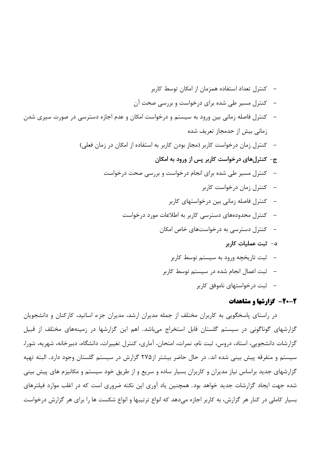- کنترل تعداد استفاده همزمان از امکان توسط کاربر کنترل مسیر طی شده برای درخواست و بررسی صحت آن – کنترل فاصله زمانی بین ورود به سیستم و درخواست امکان و عدم اجازه دسترسی در صورت سپری شدن زمانی بیش از حدمجاز تعریف شده – \_ كنترل زمان درخواست كاربر (مجاز بودن كاربر به استفاده از امكان در زمان فعلي) ج- کنترلهای درخواست کاربر پس از ورود به امکان کنترل مسیر طی شده برای انجام درخواست و بررسی صحت درخواست – کنترل زمان درخواست کاربر – \_ كنترل فاصله زمانی بین درخواستهای كاربر کنترل محدودههای دسترسی کاربر به اطلاعات مورد درخواست کنترل دسترسی به درخواستهای خاص امکان د- ثبت عملیات کاربر –۔ ثبت تاریخچه ورود به سیستم توسط کاربر –۔ ثبت اعمال انجام شدہ در سیستم توسط کاربر
	- –۔ ثبت درخواستهای ناموفق کاربر

### 2-20- گزارشها و مشاهدات

در راستای پاسخگویی به کاربران مختلف از جمله مدیران ارشد، مدیران جزء اساتید، کارکنان و دانشجویان گزارشهای گوناگونی در سیستم گلستان قابل استخراج میباشد. اهم این گزارشها در زمینههای مختلف از قبیل گزارشات دانشجویی، استاد، دروس، ثبت نام، نمرات، امتحان، آماری، کنترل تغییرات، دانشگاه، دبیرخانه، شهریه، شورا، سیستم و متفرقه پیش بینی شده اند. در حال حاضر بیشتر از۲۷۵ گزارش در سیستم گلستان وجود دارد. البته تهیه گزارشهای جدید براساس نیاز مدیران و کاربران بسیار ساده و سریع و از طریق خود سیستم و مکانیزم های پیش بینی شده جهت ایجاد گزارشات جدید خواهد بود. همچنین یاد آوری این نکته ضروری است که در اغلب موارد فیلترهای بسیار کاملی در کنار هر گزارش، به کاربر اجازه میدهد که انواع ترتیبها و انواع شکست ها را برای هر گزارش درخواست